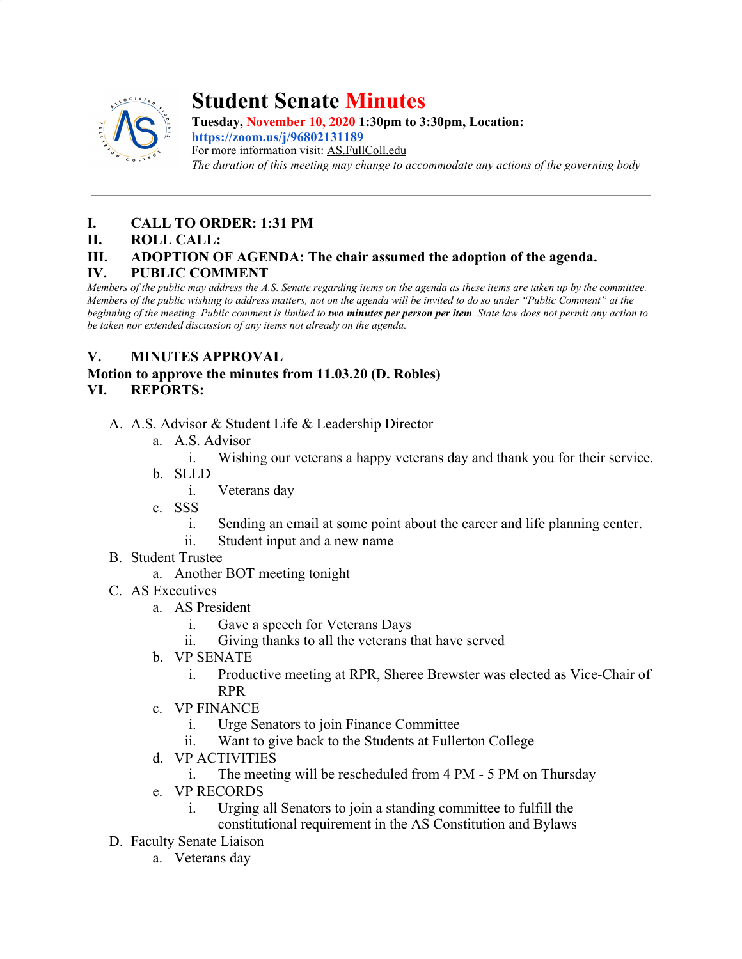

# **Student Senate Minutes**

**Tuesday, November 10, 2020 1:30pm to 3:30pm, Location: <https://zoom.us/j/96802131189>** For more information visit: AS.FullColl.edu *The duration of this meeting may change to accommodate any actions of the governing body*

# **I. CALL TO ORDER: 1:31 PM**

**II. ROLL CALL:**

## **III. ADOPTION OF AGENDA: The chair assumed the adoption of the agenda.**

#### **IV. PUBLIC COMMENT**

*Members of the public may address the A.S. Senate regarding items on the agenda as these items are taken up by the committee. Members of the public wishing to address matters, not on the agenda will be invited to do so under "Public Comment" at the beginning of the meeting. Public comment is limited to two minutes per person per item. State law does not permit any action to be taken nor extended discussion of any items not already on the agenda.*

## **V. MINUTES APPROVAL**

# **Motion to approve the minutes from 11.03.20 (D. Robles)**

## **VI. REPORTS:**

- A. A.S. Advisor & Student Life & Leadership Director
	- a. A.S. Advisor
		- i. Wishing our veterans a happy veterans day and thank you for their service.
	- b. SLLD
		- i. Veterans day
	- c. SSS
		- i. Sending an email at some point about the career and life planning center.
		- ii. Student input and a new name
- B. Student Trustee
	- a. Another BOT meeting tonight
- C. AS Executives
	- a. AS President
		- i. Gave a speech for Veterans Days
		- ii. Giving thanks to all the veterans that have served
	- b. VP SENATE
		- i. Productive meeting at RPR, Sheree Brewster was elected as Vice-Chair of RPR
	- c. VP FINANCE
		- i. Urge Senators to join Finance Committee
		- ii. Want to give back to the Students at Fullerton College
	- d. VP ACTIVITIES
		- i. The meeting will be rescheduled from 4 PM 5 PM on Thursday
	- e. VP RECORDS
		- i. Urging all Senators to join a standing committee to fulfill the constitutional requirement in the AS Constitution and Bylaws
- D. Faculty Senate Liaison
	- a. Veterans day